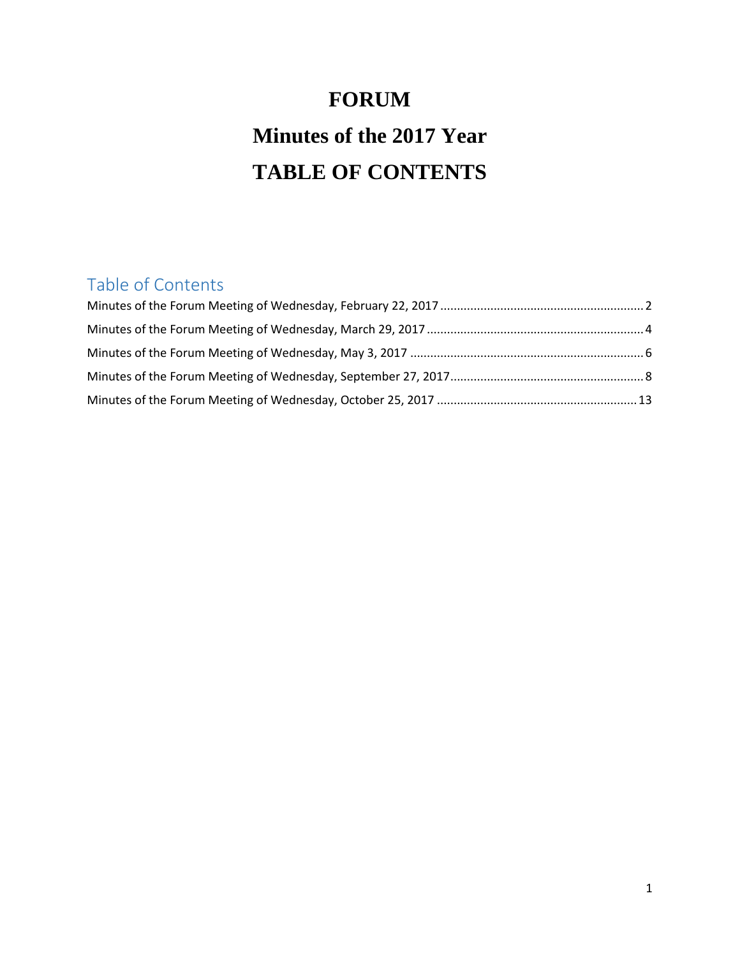# **FORUM Minutes of the 2017 Year TABLE OF CONTENTS**

# Table of Contents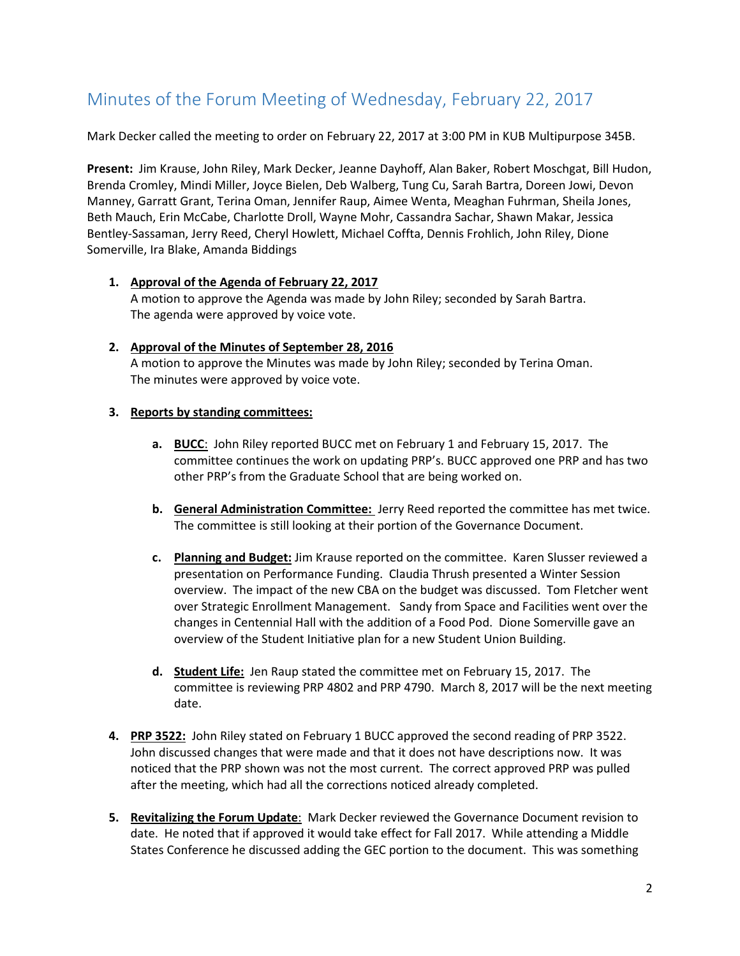# <span id="page-1-0"></span>Minutes of the Forum Meeting of Wednesday, February 22, 2017

Mark Decker called the meeting to order on February 22, 2017 at 3:00 PM in KUB Multipurpose 345B.

**Present:** Jim Krause, John Riley, Mark Decker, Jeanne Dayhoff, Alan Baker, Robert Moschgat, Bill Hudon, Brenda Cromley, Mindi Miller, Joyce Bielen, Deb Walberg, Tung Cu, Sarah Bartra, Doreen Jowi, Devon Manney, Garratt Grant, Terina Oman, Jennifer Raup, Aimee Wenta, Meaghan Fuhrman, Sheila Jones, Beth Mauch, Erin McCabe, Charlotte Droll, Wayne Mohr, Cassandra Sachar, Shawn Makar, Jessica Bentley-Sassaman, Jerry Reed, Cheryl Howlett, Michael Coffta, Dennis Frohlich, John Riley, Dione Somerville, Ira Blake, Amanda Biddings

### **1. Approval of the Agenda of February 22, 2017** A motion to approve the Agenda was made by John Riley; seconded by Sarah Bartra. The agenda were approved by voice vote.

### **2. Approval of the Minutes of September 28, 2016**

A motion to approve the Minutes was made by John Riley; seconded by Terina Oman. The minutes were approved by voice vote.

# **3. Reports by standing committees:**

- **a. BUCC**: John Riley reported BUCC met on February 1 and February 15, 2017. The committee continues the work on updating PRP's. BUCC approved one PRP and has two other PRP's from the Graduate School that are being worked on.
- **b. General Administration Committee:** Jerry Reed reported the committee has met twice. The committee is still looking at their portion of the Governance Document.
- **c. Planning and Budget:** Jim Krause reported on the committee. Karen Slusser reviewed a presentation on Performance Funding. Claudia Thrush presented a Winter Session overview. The impact of the new CBA on the budget was discussed. Tom Fletcher went over Strategic Enrollment Management. Sandy from Space and Facilities went over the changes in Centennial Hall with the addition of a Food Pod. Dione Somerville gave an overview of the Student Initiative plan for a new Student Union Building.
- **d. Student Life:** Jen Raup stated the committee met on February 15, 2017. The committee is reviewing PRP 4802 and PRP 4790. March 8, 2017 will be the next meeting date.
- **4. PRP 3522:** John Riley stated on February 1 BUCC approved the second reading of PRP 3522. John discussed changes that were made and that it does not have descriptions now. It was noticed that the PRP shown was not the most current. The correct approved PRP was pulled after the meeting, which had all the corrections noticed already completed.
- **5. Revitalizing the Forum Update**: Mark Decker reviewed the Governance Document revision to date. He noted that if approved it would take effect for Fall 2017. While attending a Middle States Conference he discussed adding the GEC portion to the document. This was something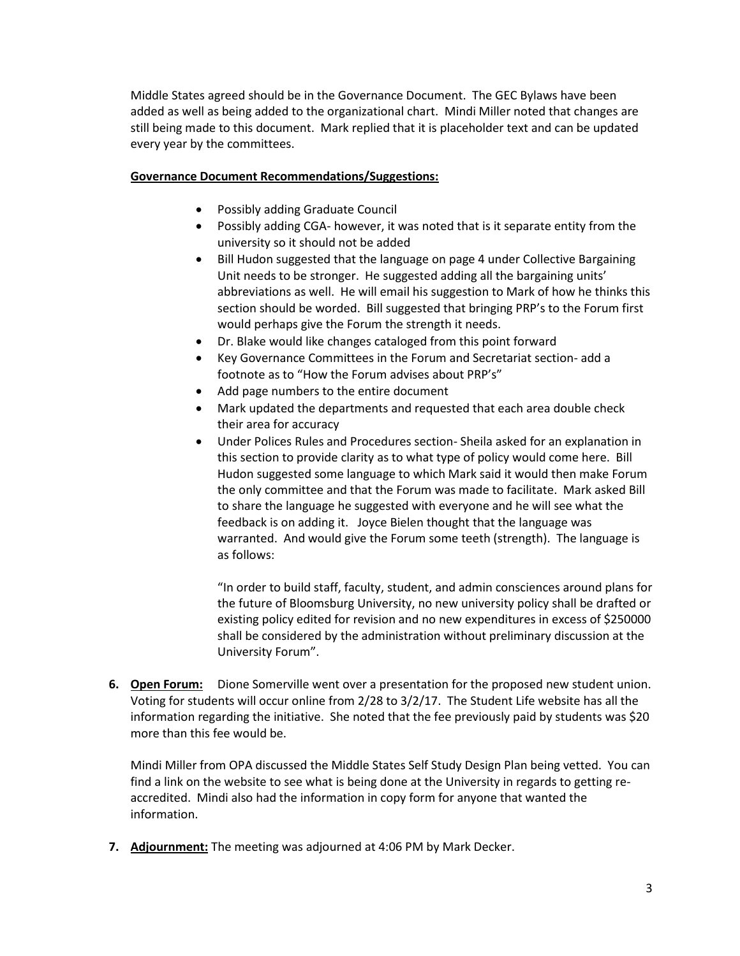Middle States agreed should be in the Governance Document. The GEC Bylaws have been added as well as being added to the organizational chart. Mindi Miller noted that changes are still being made to this document. Mark replied that it is placeholder text and can be updated every year by the committees.

# **Governance Document Recommendations/Suggestions:**

- Possibly adding Graduate Council
- Possibly adding CGA- however, it was noted that is it separate entity from the university so it should not be added
- Bill Hudon suggested that the language on page 4 under Collective Bargaining Unit needs to be stronger. He suggested adding all the bargaining units' abbreviations as well. He will email his suggestion to Mark of how he thinks this section should be worded. Bill suggested that bringing PRP's to the Forum first would perhaps give the Forum the strength it needs.
- Dr. Blake would like changes cataloged from this point forward
- Key Governance Committees in the Forum and Secretariat section- add a footnote as to "How the Forum advises about PRP's"
- Add page numbers to the entire document
- Mark updated the departments and requested that each area double check their area for accuracy
- Under Polices Rules and Procedures section- Sheila asked for an explanation in this section to provide clarity as to what type of policy would come here. Bill Hudon suggested some language to which Mark said it would then make Forum the only committee and that the Forum was made to facilitate. Mark asked Bill to share the language he suggested with everyone and he will see what the feedback is on adding it. Joyce Bielen thought that the language was warranted. And would give the Forum some teeth (strength). The language is as follows:

"In order to build staff, faculty, student, and admin consciences around plans for the future of Bloomsburg University, no new university policy shall be drafted or existing policy edited for revision and no new expenditures in excess of \$250000 shall be considered by the administration without preliminary discussion at the University Forum".

**6. Open Forum:** Dione Somerville went over a presentation for the proposed new student union. Voting for students will occur online from 2/28 to 3/2/17. The Student Life website has all the information regarding the initiative. She noted that the fee previously paid by students was \$20 more than this fee would be.

Mindi Miller from OPA discussed the Middle States Self Study Design Plan being vetted. You can find a link on the website to see what is being done at the University in regards to getting reaccredited. Mindi also had the information in copy form for anyone that wanted the information.

**7. Adjournment:** The meeting was adjourned at 4:06 PM by Mark Decker.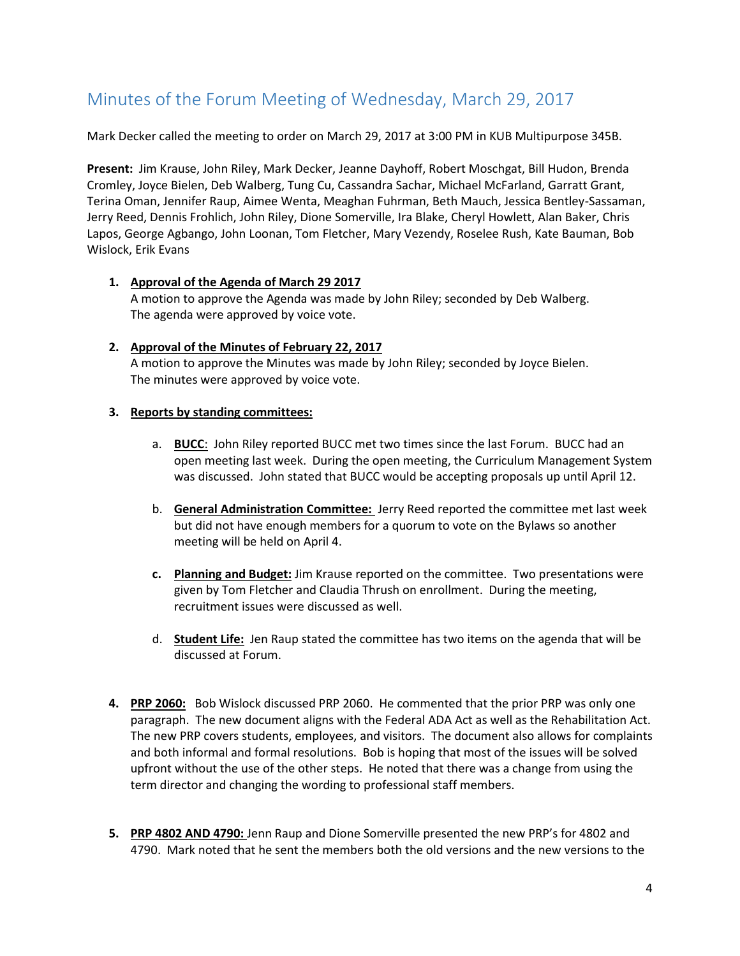# <span id="page-3-0"></span>Minutes of the Forum Meeting of Wednesday, March 29, 2017

Mark Decker called the meeting to order on March 29, 2017 at 3:00 PM in KUB Multipurpose 345B.

**Present:** Jim Krause, John Riley, Mark Decker, Jeanne Dayhoff, Robert Moschgat, Bill Hudon, Brenda Cromley, Joyce Bielen, Deb Walberg, Tung Cu, Cassandra Sachar, Michael McFarland, Garratt Grant, Terina Oman, Jennifer Raup, Aimee Wenta, Meaghan Fuhrman, Beth Mauch, Jessica Bentley-Sassaman, Jerry Reed, Dennis Frohlich, John Riley, Dione Somerville, Ira Blake, Cheryl Howlett, Alan Baker, Chris Lapos, George Agbango, John Loonan, Tom Fletcher, Mary Vezendy, Roselee Rush, Kate Bauman, Bob Wislock, Erik Evans

### **1. Approval of the Agenda of March 29 2017**

A motion to approve the Agenda was made by John Riley; seconded by Deb Walberg. The agenda were approved by voice vote.

# **2. Approval of the Minutes of February 22, 2017**

A motion to approve the Minutes was made by John Riley; seconded by Joyce Bielen. The minutes were approved by voice vote.

# **3. Reports by standing committees:**

- a. **BUCC**: John Riley reported BUCC met two times since the last Forum. BUCC had an open meeting last week. During the open meeting, the Curriculum Management System was discussed. John stated that BUCC would be accepting proposals up until April 12.
- b. **General Administration Committee:** Jerry Reed reported the committee met last week but did not have enough members for a quorum to vote on the Bylaws so another meeting will be held on April 4.
- **c. Planning and Budget:** Jim Krause reported on the committee. Two presentations were given by Tom Fletcher and Claudia Thrush on enrollment. During the meeting, recruitment issues were discussed as well.
- d. **Student Life:** Jen Raup stated the committee has two items on the agenda that will be discussed at Forum.
- **4. PRP 2060:** Bob Wislock discussed PRP 2060. He commented that the prior PRP was only one paragraph. The new document aligns with the Federal ADA Act as well as the Rehabilitation Act. The new PRP covers students, employees, and visitors. The document also allows for complaints and both informal and formal resolutions. Bob is hoping that most of the issues will be solved upfront without the use of the other steps. He noted that there was a change from using the term director and changing the wording to professional staff members.
- **5. PRP 4802 AND 4790:** Jenn Raup and Dione Somerville presented the new PRP's for 4802 and 4790. Mark noted that he sent the members both the old versions and the new versions to the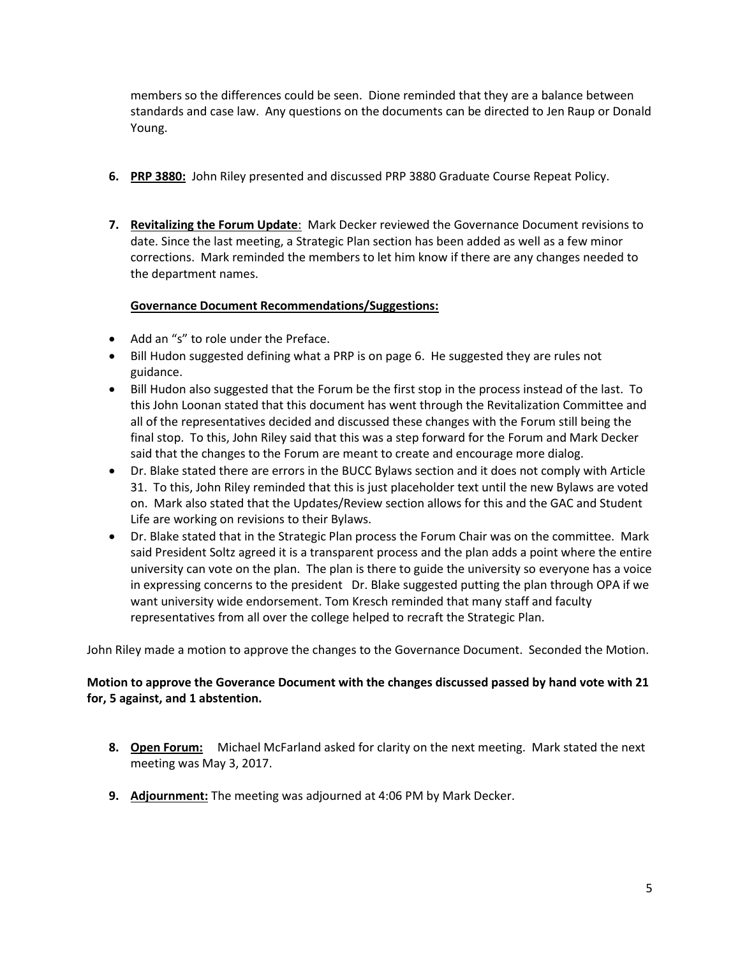members so the differences could be seen. Dione reminded that they are a balance between standards and case law. Any questions on the documents can be directed to Jen Raup or Donald Young.

- **6. PRP 3880:** John Riley presented and discussed PRP 3880 Graduate Course Repeat Policy.
- **7. Revitalizing the Forum Update**: Mark Decker reviewed the Governance Document revisions to date. Since the last meeting, a Strategic Plan section has been added as well as a few minor corrections. Mark reminded the members to let him know if there are any changes needed to the department names.

# **Governance Document Recommendations/Suggestions:**

- Add an "s" to role under the Preface.
- Bill Hudon suggested defining what a PRP is on page 6. He suggested they are rules not guidance.
- Bill Hudon also suggested that the Forum be the first stop in the process instead of the last. To this John Loonan stated that this document has went through the Revitalization Committee and all of the representatives decided and discussed these changes with the Forum still being the final stop. To this, John Riley said that this was a step forward for the Forum and Mark Decker said that the changes to the Forum are meant to create and encourage more dialog.
- Dr. Blake stated there are errors in the BUCC Bylaws section and it does not comply with Article 31. To this, John Riley reminded that this is just placeholder text until the new Bylaws are voted on. Mark also stated that the Updates/Review section allows for this and the GAC and Student Life are working on revisions to their Bylaws.
- Dr. Blake stated that in the Strategic Plan process the Forum Chair was on the committee. Mark said President Soltz agreed it is a transparent process and the plan adds a point where the entire university can vote on the plan. The plan is there to guide the university so everyone has a voice in expressing concerns to the president Dr. Blake suggested putting the plan through OPA if we want university wide endorsement. Tom Kresch reminded that many staff and faculty representatives from all over the college helped to recraft the Strategic Plan.

John Riley made a motion to approve the changes to the Governance Document. Seconded the Motion.

# **Motion to approve the Goverance Document with the changes discussed passed by hand vote with 21 for, 5 against, and 1 abstention.**

- **8. Open Forum:** Michael McFarland asked for clarity on the next meeting. Mark stated the next meeting was May 3, 2017.
- **9. Adjournment:** The meeting was adjourned at 4:06 PM by Mark Decker.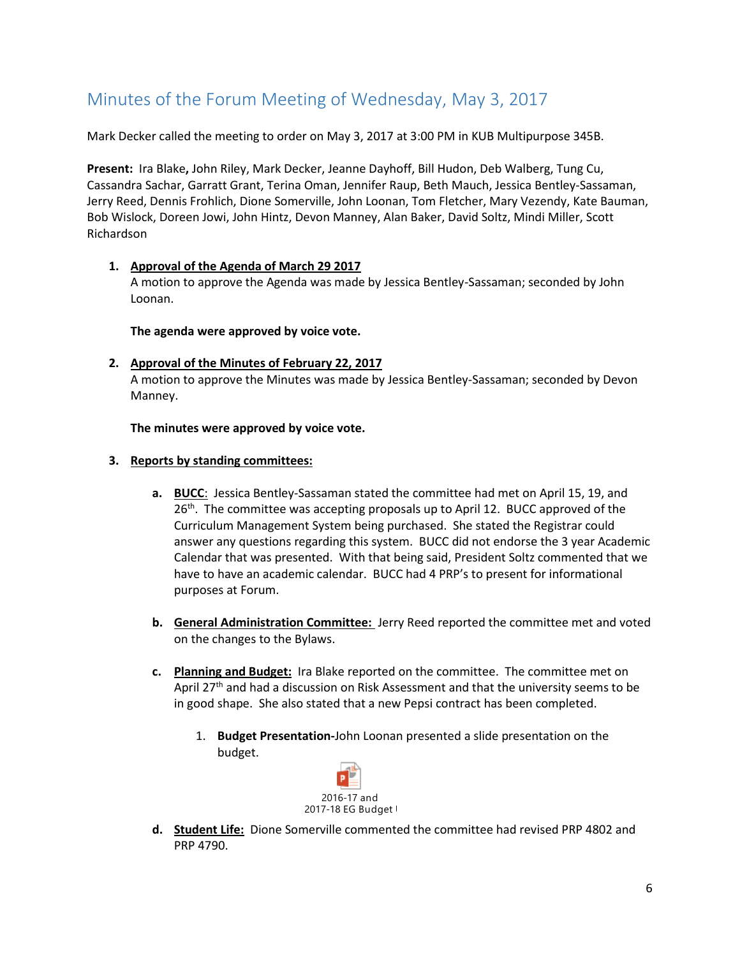# <span id="page-5-0"></span>Minutes of the Forum Meeting of Wednesday, May 3, 2017

Mark Decker called the meeting to order on May 3, 2017 at 3:00 PM in KUB Multipurpose 345B.

**Present:** Ira Blake**,** John Riley, Mark Decker, Jeanne Dayhoff, Bill Hudon, Deb Walberg, Tung Cu, Cassandra Sachar, Garratt Grant, Terina Oman, Jennifer Raup, Beth Mauch, Jessica Bentley-Sassaman, Jerry Reed, Dennis Frohlich, Dione Somerville, John Loonan, Tom Fletcher, Mary Vezendy, Kate Bauman, Bob Wislock, Doreen Jowi, John Hintz, Devon Manney, Alan Baker, David Soltz, Mindi Miller, Scott Richardson

### **1. Approval of the Agenda of March 29 2017**

A motion to approve the Agenda was made by Jessica Bentley-Sassaman; seconded by John Loonan.

**The agenda were approved by voice vote.**

### **2. Approval of the Minutes of February 22, 2017**

A motion to approve the Minutes was made by Jessica Bentley-Sassaman; seconded by Devon Manney.

**The minutes were approved by voice vote.**

### **3. Reports by standing committees:**

- **a. BUCC**: Jessica Bentley-Sassaman stated the committee had met on April 15, 19, and 26<sup>th</sup>. The committee was accepting proposals up to April 12. BUCC approved of the Curriculum Management System being purchased. She stated the Registrar could answer any questions regarding this system. BUCC did not endorse the 3 year Academic Calendar that was presented. With that being said, President Soltz commented that we have to have an academic calendar. BUCC had 4 PRP's to present for informational purposes at Forum.
- **b. General Administration Committee:** Jerry Reed reported the committee met and voted on the changes to the Bylaws.
- **c. Planning and Budget:** Ira Blake reported on the committee. The committee met on April 27<sup>th</sup> and had a discussion on Risk Assessment and that the university seems to be in good shape. She also stated that a new Pepsi contract has been completed.
	- 1. **Budget Presentation-**John Loonan presented a slide presentation on the budget.



**d. Student Life:** Dione Somerville commented the committee had revised PRP 4802 and PRP 4790.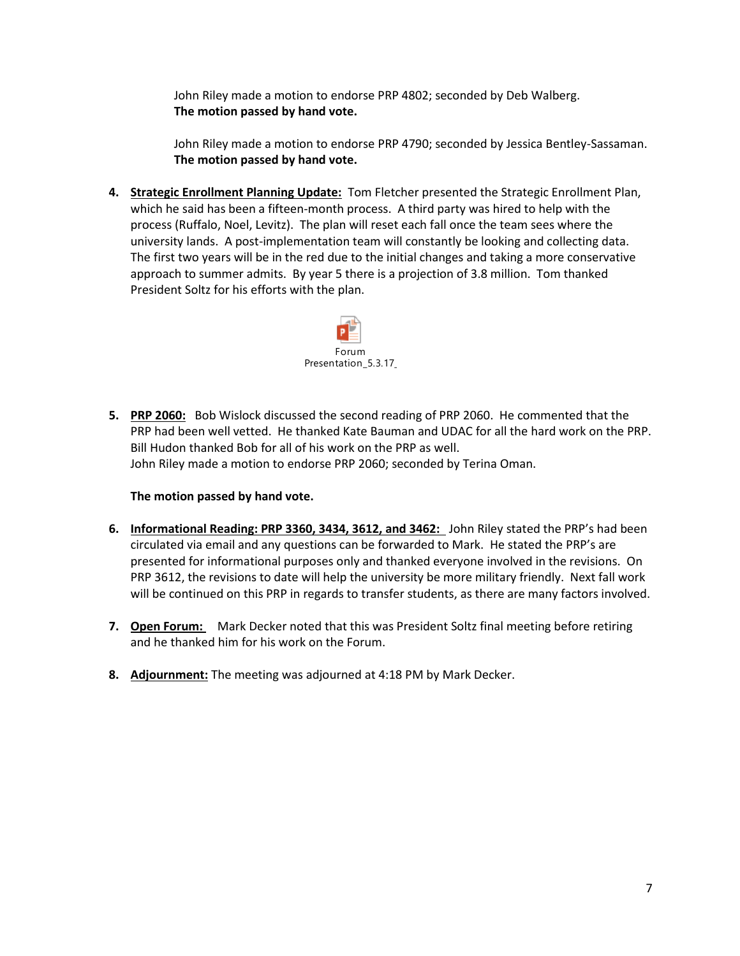John Riley made a motion to endorse PRP 4802; seconded by Deb Walberg. **The motion passed by hand vote.**

John Riley made a motion to endorse PRP 4790; seconded by Jessica Bentley-Sassaman. **The motion passed by hand vote.** 

**4. Strategic Enrollment Planning Update:** Tom Fletcher presented the Strategic Enrollment Plan, which he said has been a fifteen-month process. A third party was hired to help with the process (Ruffalo, Noel, Levitz). The plan will reset each fall once the team sees where the university lands. A post-implementation team will constantly be looking and collecting data. The first two years will be in the red due to the initial changes and taking a more conservative approach to summer admits. By year 5 there is a projection of 3.8 million. Tom thanked President Soltz for his efforts with the plan.



**5. PRP 2060:** Bob Wislock discussed the second reading of PRP 2060. He commented that the PRP had been well vetted. He thanked Kate Bauman and UDAC for all the hard work on the PRP. Bill Hudon thanked Bob for all of his work on the PRP as well. John Riley made a motion to endorse PRP 2060; seconded by Terina Oman.

### **The motion passed by hand vote.**

- **6. Informational Reading: PRP 3360, 3434, 3612, and 3462:** John Riley stated the PRP's had been circulated via email and any questions can be forwarded to Mark. He stated the PRP's are presented for informational purposes only and thanked everyone involved in the revisions. On PRP 3612, the revisions to date will help the university be more military friendly. Next fall work will be continued on this PRP in regards to transfer students, as there are many factors involved.
- **7. Open Forum:** Mark Decker noted that this was President Soltz final meeting before retiring and he thanked him for his work on the Forum.
- **8. Adjournment:** The meeting was adjourned at 4:18 PM by Mark Decker.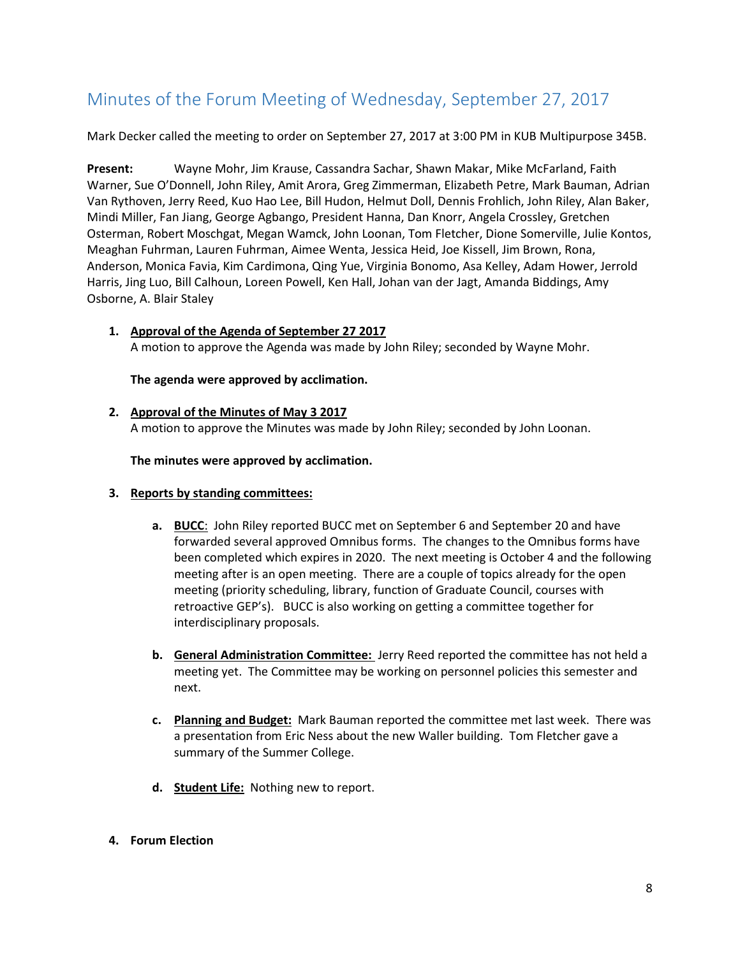# <span id="page-7-0"></span>Minutes of the Forum Meeting of Wednesday, September 27, 2017

Mark Decker called the meeting to order on September 27, 2017 at 3:00 PM in KUB Multipurpose 345B.

**Present:** Wayne Mohr, Jim Krause, Cassandra Sachar, Shawn Makar, Mike McFarland, Faith Warner, Sue O'Donnell, John Riley, Amit Arora, Greg Zimmerman, Elizabeth Petre, Mark Bauman, Adrian Van Rythoven, Jerry Reed, Kuo Hao Lee, Bill Hudon, Helmut Doll, Dennis Frohlich, John Riley, Alan Baker, Mindi Miller, Fan Jiang, George Agbango, President Hanna, Dan Knorr, Angela Crossley, Gretchen Osterman, Robert Moschgat, Megan Wamck, John Loonan, Tom Fletcher, Dione Somerville, Julie Kontos, Meaghan Fuhrman, Lauren Fuhrman, Aimee Wenta, Jessica Heid, Joe Kissell, Jim Brown, Rona, Anderson, Monica Favia, Kim Cardimona, Qing Yue, Virginia Bonomo, Asa Kelley, Adam Hower, Jerrold Harris, Jing Luo, Bill Calhoun, Loreen Powell, Ken Hall, Johan van der Jagt, Amanda Biddings, Amy Osborne, A. Blair Staley

# **1. Approval of the Agenda of September 27 2017**

A motion to approve the Agenda was made by John Riley; seconded by Wayne Mohr.

**The agenda were approved by acclimation.**

#### **2. Approval of the Minutes of May 3 2017**

A motion to approve the Minutes was made by John Riley; seconded by John Loonan.

**The minutes were approved by acclimation.**

- **3. Reports by standing committees:**
	- **a. BUCC**: John Riley reported BUCC met on September 6 and September 20 and have forwarded several approved Omnibus forms. The changes to the Omnibus forms have been completed which expires in 2020. The next meeting is October 4 and the following meeting after is an open meeting. There are a couple of topics already for the open meeting (priority scheduling, library, function of Graduate Council, courses with retroactive GEP's). BUCC is also working on getting a committee together for interdisciplinary proposals.
	- **b. General Administration Committee:** Jerry Reed reported the committee has not held a meeting yet. The Committee may be working on personnel policies this semester and next.
	- **c. Planning and Budget:** Mark Bauman reported the committee met last week. There was a presentation from Eric Ness about the new Waller building. Tom Fletcher gave a summary of the Summer College.
	- **d. Student Life:** Nothing new to report.

### **4. Forum Election**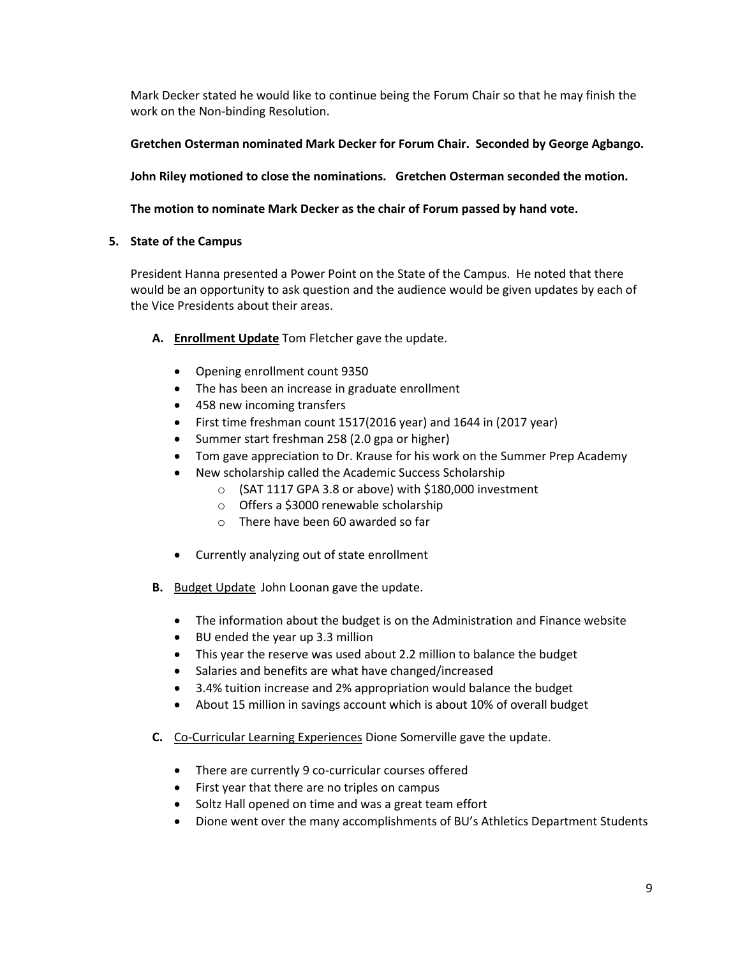Mark Decker stated he would like to continue being the Forum Chair so that he may finish the work on the Non-binding Resolution.

**Gretchen Osterman nominated Mark Decker for Forum Chair. Seconded by George Agbango.**

**John Riley motioned to close the nominations. Gretchen Osterman seconded the motion.**

# **The motion to nominate Mark Decker as the chair of Forum passed by hand vote.**

# **5. State of the Campus**

President Hanna presented a Power Point on the State of the Campus. He noted that there would be an opportunity to ask question and the audience would be given updates by each of the Vice Presidents about their areas.

- **A. Enrollment Update** Tom Fletcher gave the update.
	- Opening enrollment count 9350
	- The has been an increase in graduate enrollment
	- 458 new incoming transfers
	- First time freshman count 1517(2016 year) and 1644 in (2017 year)
	- Summer start freshman 258 (2.0 gpa or higher)
	- Tom gave appreciation to Dr. Krause for his work on the Summer Prep Academy
	- New scholarship called the Academic Success Scholarship
		- o (SAT 1117 GPA 3.8 or above) with \$180,000 investment
		- o Offers a \$3000 renewable scholarship
		- o There have been 60 awarded so far
	- Currently analyzing out of state enrollment
- **B.** Budget Update John Loonan gave the update.
	- The information about the budget is on the Administration and Finance website
	- BU ended the year up 3.3 million
	- This year the reserve was used about 2.2 million to balance the budget
	- Salaries and benefits are what have changed/increased
	- 3.4% tuition increase and 2% appropriation would balance the budget
	- About 15 million in savings account which is about 10% of overall budget
- **C.** Co-Curricular Learning Experiences Dione Somerville gave the update.
	- There are currently 9 co-curricular courses offered
	- First year that there are no triples on campus
	- Soltz Hall opened on time and was a great team effort
	- Dione went over the many accomplishments of BU's Athletics Department Students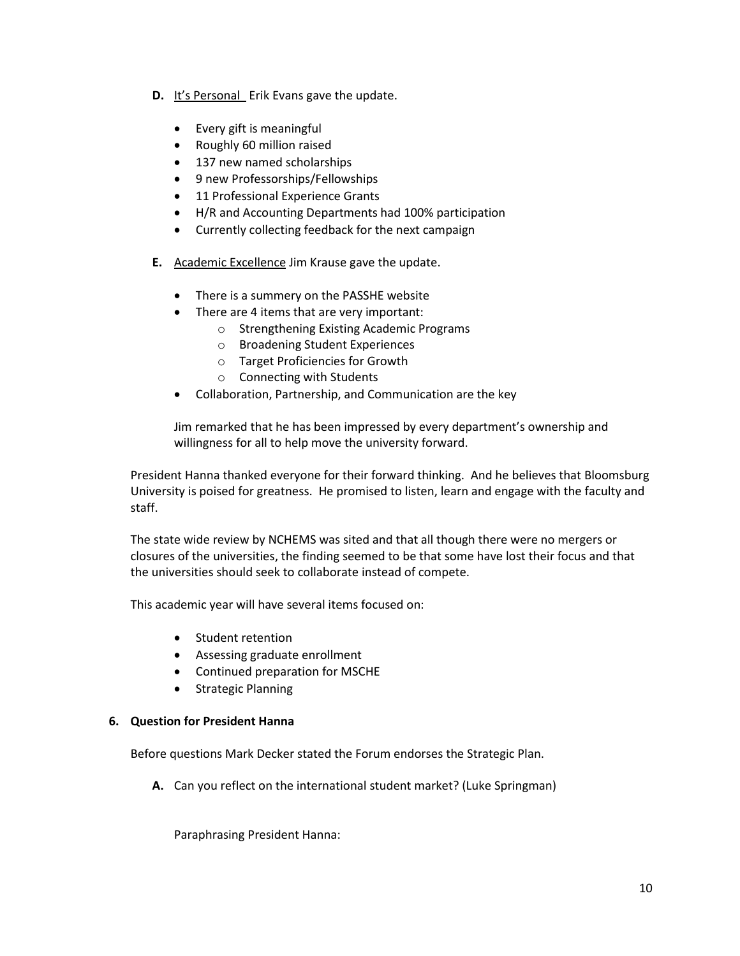- **D.** It's Personal Erik Evans gave the update.
	- Every gift is meaningful
	- Roughly 60 million raised
	- 137 new named scholarships
	- 9 new Professorships/Fellowships
	- 11 Professional Experience Grants
	- H/R and Accounting Departments had 100% participation
	- Currently collecting feedback for the next campaign
- **E.** Academic Excellence Jim Krause gave the update.
	- There is a summery on the PASSHE website
	- There are 4 items that are very important:
		- o Strengthening Existing Academic Programs
		- o Broadening Student Experiences
		- o Target Proficiencies for Growth
		- o Connecting with Students
	- Collaboration, Partnership, and Communication are the key

Jim remarked that he has been impressed by every department's ownership and willingness for all to help move the university forward.

President Hanna thanked everyone for their forward thinking. And he believes that Bloomsburg University is poised for greatness. He promised to listen, learn and engage with the faculty and staff.

The state wide review by NCHEMS was sited and that all though there were no mergers or closures of the universities, the finding seemed to be that some have lost their focus and that the universities should seek to collaborate instead of compete.

This academic year will have several items focused on:

- Student retention
- Assessing graduate enrollment
- Continued preparation for MSCHE
- Strategic Planning

### **6. Question for President Hanna**

Before questions Mark Decker stated the Forum endorses the Strategic Plan.

**A.** Can you reflect on the international student market? (Luke Springman)

Paraphrasing President Hanna: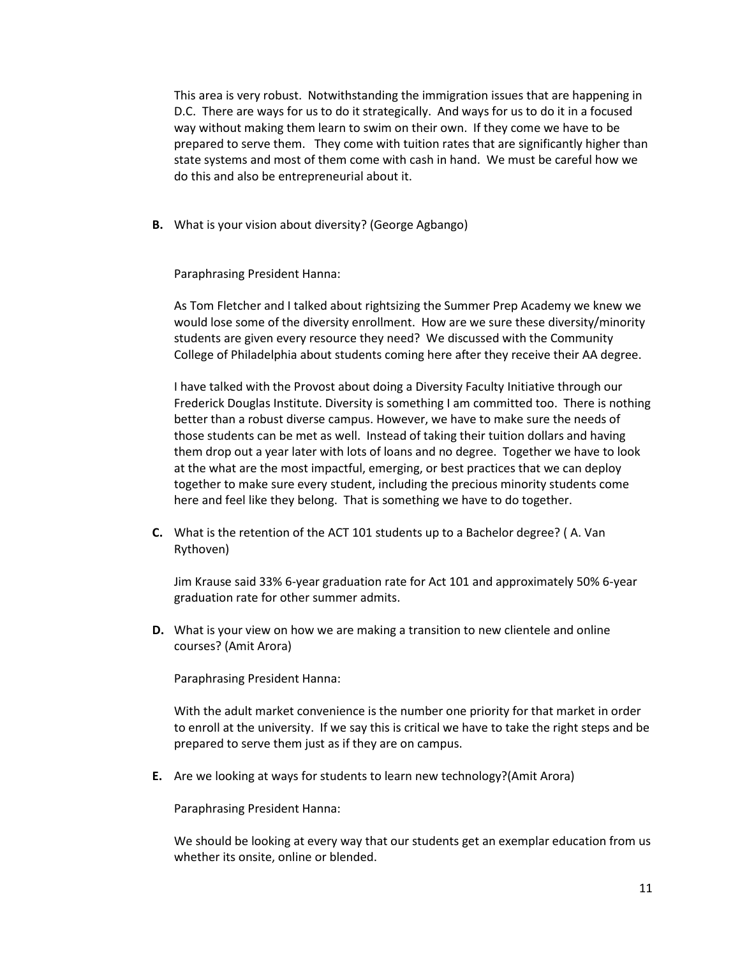This area is very robust. Notwithstanding the immigration issues that are happening in D.C. There are ways for us to do it strategically. And ways for us to do it in a focused way without making them learn to swim on their own. If they come we have to be prepared to serve them. They come with tuition rates that are significantly higher than state systems and most of them come with cash in hand. We must be careful how we do this and also be entrepreneurial about it.

**B.** What is your vision about diversity? (George Agbango)

Paraphrasing President Hanna:

As Tom Fletcher and I talked about rightsizing the Summer Prep Academy we knew we would lose some of the diversity enrollment. How are we sure these diversity/minority students are given every resource they need? We discussed with the Community College of Philadelphia about students coming here after they receive their AA degree.

I have talked with the Provost about doing a Diversity Faculty Initiative through our Frederick Douglas Institute. Diversity is something I am committed too. There is nothing better than a robust diverse campus. However, we have to make sure the needs of those students can be met as well. Instead of taking their tuition dollars and having them drop out a year later with lots of loans and no degree. Together we have to look at the what are the most impactful, emerging, or best practices that we can deploy together to make sure every student, including the precious minority students come here and feel like they belong. That is something we have to do together.

**C.** What is the retention of the ACT 101 students up to a Bachelor degree? ( A. Van Rythoven)

Jim Krause said 33% 6-year graduation rate for Act 101 and approximately 50% 6-year graduation rate for other summer admits.

**D.** What is your view on how we are making a transition to new clientele and online courses? (Amit Arora)

Paraphrasing President Hanna:

With the adult market convenience is the number one priority for that market in order to enroll at the university. If we say this is critical we have to take the right steps and be prepared to serve them just as if they are on campus.

**E.** Are we looking at ways for students to learn new technology?(Amit Arora)

Paraphrasing President Hanna:

We should be looking at every way that our students get an exemplar education from us whether its onsite, online or blended.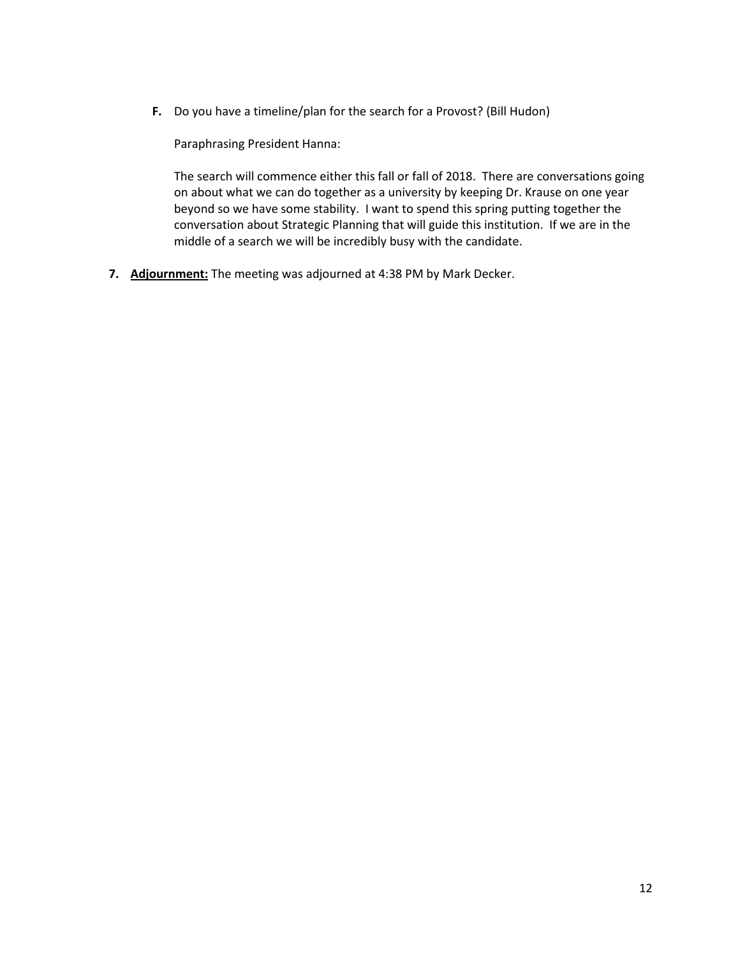**F.** Do you have a timeline/plan for the search for a Provost? (Bill Hudon)

Paraphrasing President Hanna:

The search will commence either this fall or fall of 2018. There are conversations going on about what we can do together as a university by keeping Dr. Krause on one year beyond so we have some stability. I want to spend this spring putting together the conversation about Strategic Planning that will guide this institution. If we are in the middle of a search we will be incredibly busy with the candidate.

**7. Adjournment:** The meeting was adjourned at 4:38 PM by Mark Decker.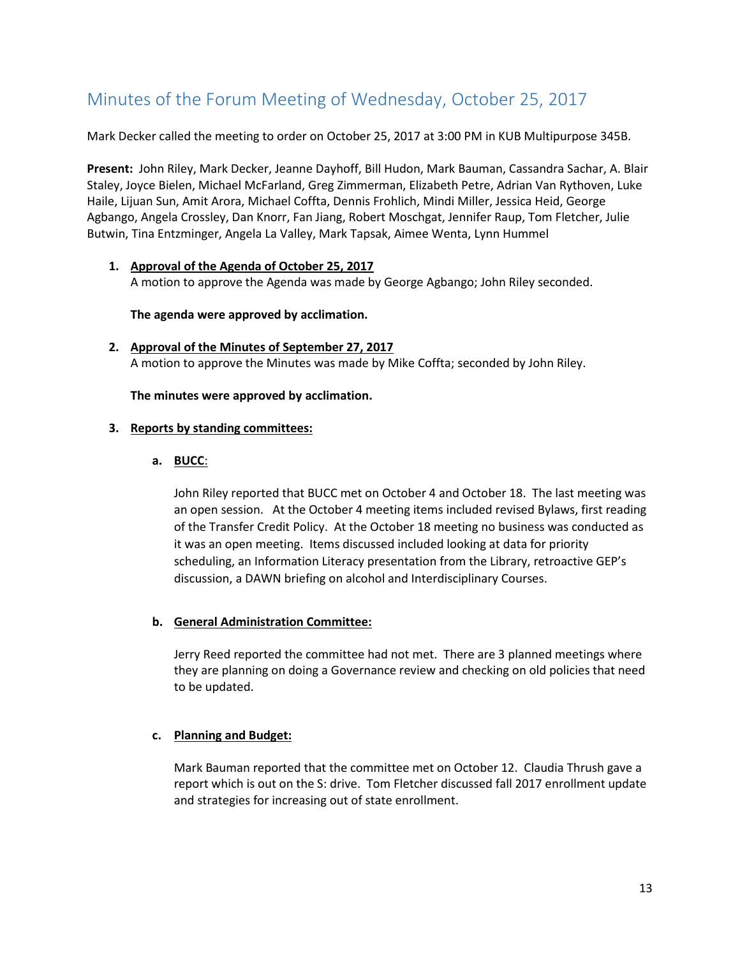# <span id="page-12-0"></span>Minutes of the Forum Meeting of Wednesday, October 25, 2017

Mark Decker called the meeting to order on October 25, 2017 at 3:00 PM in KUB Multipurpose 345B.

**Present:** John Riley, Mark Decker, Jeanne Dayhoff, Bill Hudon, Mark Bauman, Cassandra Sachar, A. Blair Staley, Joyce Bielen, Michael McFarland, Greg Zimmerman, Elizabeth Petre, Adrian Van Rythoven, Luke Haile, Lijuan Sun, Amit Arora, Michael Coffta, Dennis Frohlich, Mindi Miller, Jessica Heid, George Agbango, Angela Crossley, Dan Knorr, Fan Jiang, Robert Moschgat, Jennifer Raup, Tom Fletcher, Julie Butwin, Tina Entzminger, Angela La Valley, Mark Tapsak, Aimee Wenta, Lynn Hummel

# **1. Approval of the Agenda of October 25, 2017**

A motion to approve the Agenda was made by George Agbango; John Riley seconded.

#### **The agenda were approved by acclimation.**

**2. Approval of the Minutes of September 27, 2017** A motion to approve the Minutes was made by Mike Coffta; seconded by John Riley.

#### **The minutes were approved by acclimation.**

#### **3. Reports by standing committees:**

**a. BUCC**:

John Riley reported that BUCC met on October 4 and October 18. The last meeting was an open session. At the October 4 meeting items included revised Bylaws, first reading of the Transfer Credit Policy. At the October 18 meeting no business was conducted as it was an open meeting. Items discussed included looking at data for priority scheduling, an Information Literacy presentation from the Library, retroactive GEP's discussion, a DAWN briefing on alcohol and Interdisciplinary Courses.

### **b. General Administration Committee:**

Jerry Reed reported the committee had not met. There are 3 planned meetings where they are planning on doing a Governance review and checking on old policies that need to be updated.

### **c. Planning and Budget:**

Mark Bauman reported that the committee met on October 12. Claudia Thrush gave a report which is out on the S: drive. Tom Fletcher discussed fall 2017 enrollment update and strategies for increasing out of state enrollment.